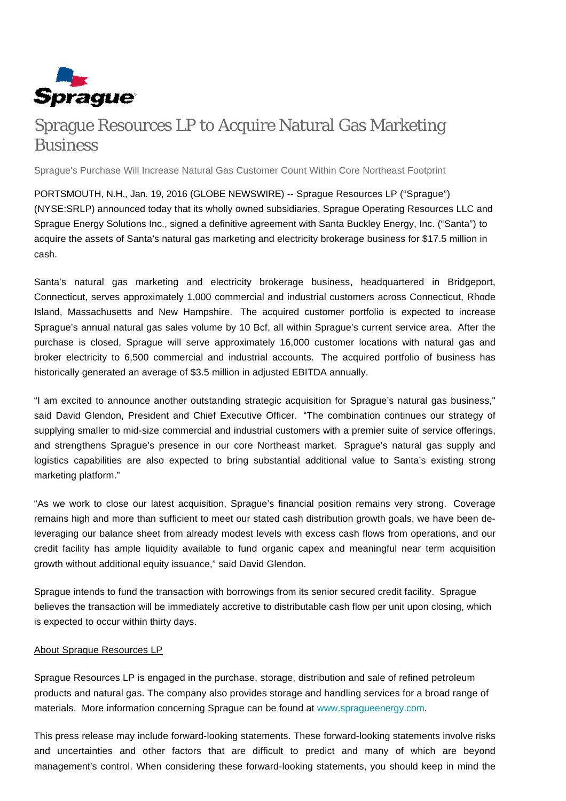

## Sprague Resources LP to Acquire Natural Gas Marketing **Business**

Sprague's Purchase Will Increase Natural Gas Customer Count Within Core Northeast Footprint

PORTSMOUTH, N.H., Jan. 19, 2016 (GLOBE NEWSWIRE) -- Sprague Resources LP ("Sprague") (NYSE:SRLP) announced today that its wholly owned subsidiaries, Sprague Operating Resources LLC and Sprague Energy Solutions Inc., signed a definitive agreement with Santa Buckley Energy, Inc. ("Santa") to acquire the assets of Santa's natural gas marketing and electricity brokerage business for \$17.5 million in cash.

Santa's natural gas marketing and electricity brokerage business, headquartered in Bridgeport, Connecticut, serves approximately 1,000 commercial and industrial customers across Connecticut, Rhode Island, Massachusetts and New Hampshire. The acquired customer portfolio is expected to increase Sprague's annual natural gas sales volume by 10 Bcf, all within Sprague's current service area. After the purchase is closed, Sprague will serve approximately 16,000 customer locations with natural gas and broker electricity to 6,500 commercial and industrial accounts. The acquired portfolio of business has historically generated an average of \$3.5 million in adjusted EBITDA annually.

"I am excited to announce another outstanding strategic acquisition for Sprague's natural gas business," said David Glendon, President and Chief Executive Officer. "The combination continues our strategy of supplying smaller to mid-size commercial and industrial customers with a premier suite of service offerings, and strengthens Sprague's presence in our core Northeast market. Sprague's natural gas supply and logistics capabilities are also expected to bring substantial additional value to Santa's existing strong marketing platform."

"As we work to close our latest acquisition, Sprague's financial position remains very strong. Coverage remains high and more than sufficient to meet our stated cash distribution growth goals, we have been deleveraging our balance sheet from already modest levels with excess cash flows from operations, and our credit facility has ample liquidity available to fund organic capex and meaningful near term acquisition growth without additional equity issuance," said David Glendon.

Sprague intends to fund the transaction with borrowings from its senior secured credit facility. Sprague believes the transaction will be immediately accretive to distributable cash flow per unit upon closing, which is expected to occur within thirty days.

## About Sprague Resources LP

Sprague Resources LP is engaged in the purchase, storage, distribution and sale of refined petroleum products and natural gas. The company also provides storage and handling services for a broad range of materials. More information concerning Sprague can be found at [www.spragueenergy.com](http://www.spragueenergy.com/).

This press release may include forward-looking statements. These forward-looking statements involve risks and uncertainties and other factors that are difficult to predict and many of which are beyond management's control. When considering these forward-looking statements, you should keep in mind the